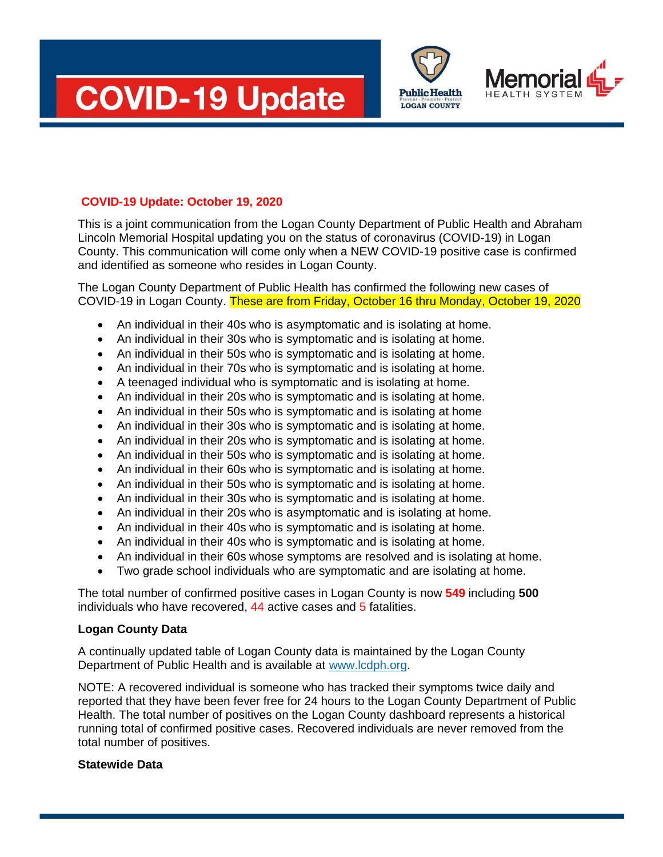





## **COVID-19 Update: October 19, 2020**

This is a joint communication from the Logan County Department of Public Health and Abraham Lincoln Memorial Hospital updating you on the status of coronavirus (COVID-19) in Logan County. This communication will come only when a NEW COVID-19 positive case is confirmed and identified as someone who resides in Logan County.

The Logan County Department of Public Health has confirmed the following new cases of COVID-19 in Logan County. These are from Friday, October 16 thru Monday, October 19, 2020

- An individual in their 40s who is asymptomatic and is isolating at home.
- An individual in their 30s who is symptomatic and is isolating at home.
- An individual in their 50s who is symptomatic and is isolating at home.
- An individual in their 70s who is symptomatic and is isolating at home.
- A teenaged individual who is symptomatic and is isolating at home.
- An individual in their 20s who is symptomatic and is isolating at home.
- An individual in their 50s who is symptomatic and is isolating at home
- An individual in their 30s who is symptomatic and is isolating at home.
- An individual in their 20s who is symptomatic and is isolating at home.
- An individual in their 50s who is symptomatic and is isolating at home.
- An individual in their 60s who is symptomatic and is isolating at home.
- An individual in their 50s who is symptomatic and is isolating at home.
- An individual in their 30s who is symptomatic and is isolating at home.
- An individual in their 20s who is asymptomatic and is isolating at home.
- An individual in their 40s who is symptomatic and is isolating at home.
- An individual in their 40s who is symptomatic and is isolating at home.
- An individual in their 60s whose symptoms are resolved and is isolating at home.
- Two grade school individuals who are symptomatic and are isolating at home.

The total number of confirmed positive cases in Logan County is now **549** including **500** individuals who have recovered, 44 active cases and 5 fatalities.

## **Logan County Data**

A continually updated table of Logan County data is maintained by the Logan County Department of Public Health and is available at [www.lcdph.org.](http://www.lcdph.org/)

NOTE: A recovered individual is someone who has tracked their symptoms twice daily and reported that they have been fever free for 24 hours to the Logan County Department of Public Health. The total number of positives on the Logan County dashboard represents a historical running total of confirmed positive cases. Recovered individuals are never removed from the total number of positives.

## **Statewide Data**